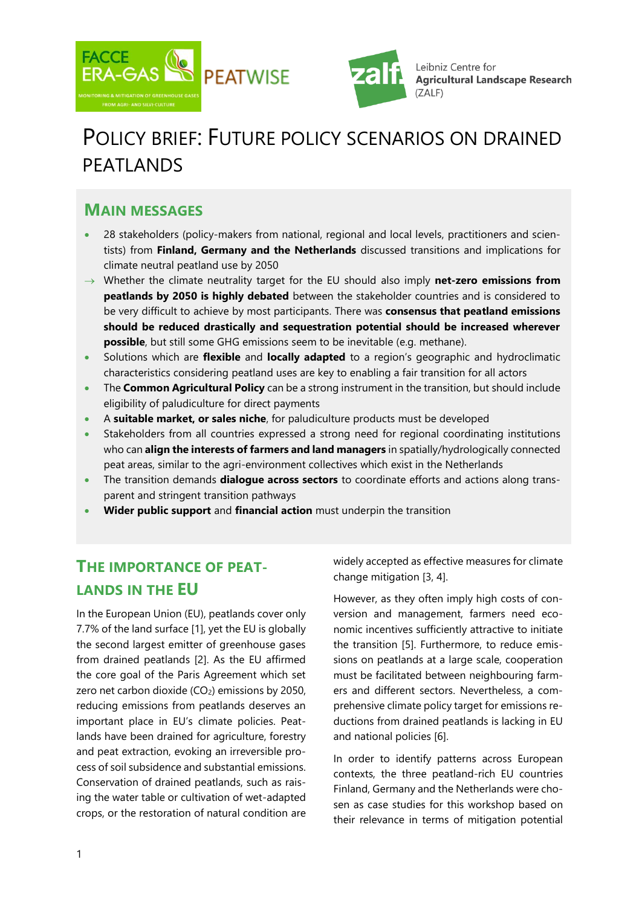



Leibniz Centre for **Agricultural Landscape Research** (ZALF)

# POLICY BRIEF: FUTURE POLICY SCENARIOS ON DRAINED PFATI ANDS

#### **MAIN MESSAGES**

- 28 stakeholders (policy-makers from national, regional and local levels, practitioners and scientists) from **Finland, Germany and the Netherlands** discussed transitions and implications for climate neutral peatland use by 2050
- Whether the climate neutrality target for the EU should also imply **net-zero emissions from peatlands by 2050 is highly debated** between the stakeholder countries and is considered to be very difficult to achieve by most participants. There was **consensus that peatland emissions should be reduced drastically and sequestration potential should be increased wherever possible**, but still some GHG emissions seem to be inevitable (e.g. methane).
- Solutions which are **flexible** and **locally adapted** to a region's geographic and hydroclimatic characteristics considering peatland uses are key to enabling a fair transition for all actors
- The **Common Agricultural Policy** can be a strong instrument in the transition, but should include eligibility of paludiculture for direct payments
- A **suitable market, or sales niche**, for paludiculture products must be developed
- Stakeholders from all countries expressed a strong need for regional coordinating institutions who can **align the interests of farmers and land managers** in spatially/hydrologically connected peat areas, similar to the agri-environment collectives which exist in the Netherlands
- The transition demands **dialogue across sectors** to coordinate efforts and actions along transparent and stringent transition pathways
- **Wider public support** and **financial action** must underpin the transition

# **THE IMPORTANCE OF PEAT-LANDS IN THE EU**

In the European Union (EU), peatlands cover only 7.7% of the land surface [1], yet the EU is globally the second largest emitter of greenhouse gases from drained peatlands [2]. As the EU affirmed the core goal of the Paris Agreement which set zero net carbon dioxide  $(CO<sub>2</sub>)$  emissions by 2050, reducing emissions from peatlands deserves an important place in EU's climate policies. Peatlands have been drained for agriculture, forestry and peat extraction, evoking an irreversible process of soil subsidence and substantial emissions. Conservation of drained peatlands, such as raising the water table or cultivation of wet-adapted crops, or the restoration of natural condition are widely accepted as effective measures for climate change mitigation [3, 4].

However, as they often imply high costs of conversion and management, farmers need economic incentives sufficiently attractive to initiate the transition [5]. Furthermore, to reduce emissions on peatlands at a large scale, cooperation must be facilitated between neighbouring farmers and different sectors. Nevertheless, a comprehensive climate policy target for emissions reductions from drained peatlands is lacking in EU and national policies [6].

In order to identify patterns across European contexts, the three peatland-rich EU countries Finland, Germany and the Netherlands were chosen as case studies for this workshop based on their relevance in terms of mitigation potential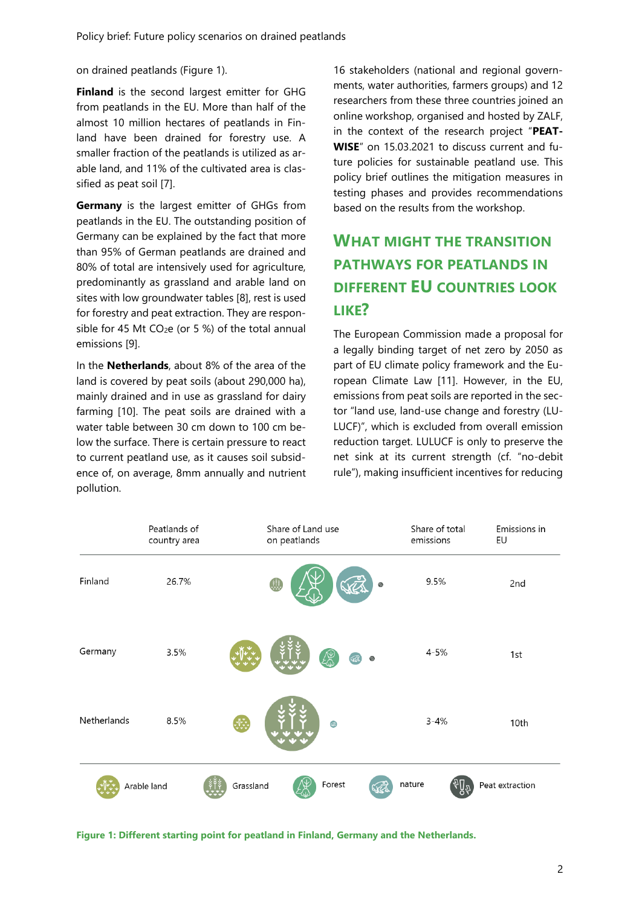on drained peatlands (Figure 1).

**Finland** is the second largest emitter for GHG from peatlands in the EU. More than half of the almost 10 million hectares of peatlands in Finland have been drained for forestry use. A smaller fraction of the peatlands is utilized as arable land, and 11% of the cultivated area is classified as peat soil [7].

**Germany** is the largest emitter of GHGs from peatlands in the EU. The outstanding position of Germany can be explained by the fact that more than 95% of German peatlands are drained and 80% of total are intensively used for agriculture, predominantly as grassland and arable land on sites with low groundwater tables [8], rest is used for forestry and peat extraction. They are responsible for 45 Mt  $CO<sub>2</sub>e$  (or 5 %) of the total annual emissions [9].

In the **Netherlands**, about 8% of the area of the land is covered by peat soils (about 290,000 ha), mainly drained and in use as grassland for dairy farming [10]. The peat soils are drained with a water table between 30 cm down to 100 cm below the surface. There is certain pressure to react to current peatland use, as it causes soil subsidence of, on average, 8mm annually and nutrient pollution.

16 stakeholders (national and regional governments, water authorities, farmers groups) and 12 researchers from these three countries joined an online workshop, organised and hosted by ZALF, in the context of the research project "**PEAT-WISE**" on 15.03.2021 to discuss current and future policies for sustainable peatland use. This policy brief outlines the mitigation measures in testing phases and provides recommendations based on the results from the workshop.

# **WHAT MIGHT THE TRANSITION PATHWAYS FOR PEATLANDS IN DIFFERENT EU COUNTRIES LOOK LIKE?**

The European Commission made a proposal for a legally binding target of net zero by 2050 as part of EU climate policy framework and the European Climate Law [11]. However, in the EU, emissions from peat soils are reported in the sector "land use, land-use change and forestry (LU-LUCF)", which is excluded from overall emission reduction target. LULUCF is only to preserve the net sink at its current strength (cf. "no-debit rule"), making insufficient incentives for reducing



**Figure 1: Different starting point for peatland in Finland, Germany and the Netherlands.**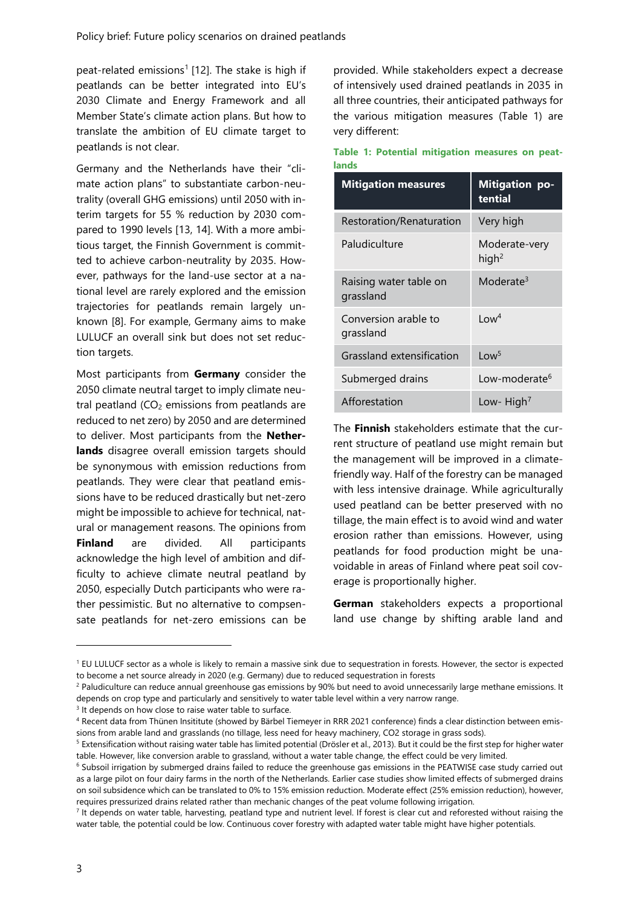peat-related emissions<sup>1</sup> [12]. The stake is high if peatlands can be better integrated into EU's 2030 Climate and Energy Framework and all Member State's climate action plans. But how to translate the ambition of EU climate target to peatlands is not clear.

Germany and the Netherlands have their "climate action plans" to substantiate carbon-neutrality (overall GHG emissions) until 2050 with interim targets for 55 % reduction by 2030 compared to 1990 levels [13, 14]. With a more ambitious target, the Finnish Government is committed to achieve carbon-neutrality by 2035. However, pathways for the land-use sector at a national level are rarely explored and the emission trajectories for peatlands remain largely unknown [8]. For example, Germany aims to make LULUCF an overall sink but does not set reduction targets.

Most participants from **Germany** consider the 2050 climate neutral target to imply climate neutral peatland  $(CO<sub>2</sub>$  emissions from peatlands are reduced to net zero) by 2050 and are determined to deliver. Most participants from the **Netherlands** disagree overall emission targets should be synonymous with emission reductions from peatlands. They were clear that peatland emissions have to be reduced drastically but net-zero might be impossible to achieve for technical, natural or management reasons. The opinions from **Finland** are divided. All participants acknowledge the high level of ambition and difficulty to achieve climate neutral peatland by 2050, especially Dutch participants who were rather pessimistic. But no alternative to compsensate peatlands for net-zero emissions can be provided. While stakeholders expect a decrease of intensively used drained peatlands in 2035 in all three countries, their anticipated pathways for the various mitigation measures (Table 1) are very different:

| anus                                |                                    |  |  |  |
|-------------------------------------|------------------------------------|--|--|--|
| <b>Mitigation measures</b>          | <b>Mitigation po-</b><br>tential   |  |  |  |
| Restoration/Renaturation            | Very high                          |  |  |  |
| Paludiculture                       | Moderate-very<br>high <sup>2</sup> |  |  |  |
| Raising water table on<br>grassland | Moderate <sup>3</sup>              |  |  |  |
| Conversion arable to<br>grassland   | $1 \text{ or } 4$                  |  |  |  |
| Grassland extensification           | Low <sup>5</sup>                   |  |  |  |
| Submerged drains                    | Low-moderate <sup>6</sup>          |  |  |  |
| Afforestation                       | Low-High <sup>7</sup>              |  |  |  |

**Table 1: Potential mitigation measures on peatlands**

The **Finnish** stakeholders estimate that the current structure of peatland use might remain but the management will be improved in a climatefriendly way. Half of the forestry can be managed with less intensive drainage. While agriculturally used peatland can be better preserved with no tillage, the main effect is to avoid wind and water erosion rather than emissions. However, using peatlands for food production might be unavoidable in areas of Finland where peat soil coverage is proportionally higher.

**German** stakeholders expects a proportional land use change by shifting arable land and

-

<sup>&</sup>lt;sup>1</sup> EU LULUCF sector as a whole is likely to remain a massive sink due to sequestration in forests. However, the sector is expected to become a net source already in 2020 (e.g. Germany) due to reduced sequestration in forests

<sup>&</sup>lt;sup>2</sup> Paludiculture can reduce annual greenhouse gas emissions by 90% but need to avoid unnecessarily large methane emissions. It depends on crop type and particularly and sensitively to water table level within a very narrow range.

<sup>&</sup>lt;sup>3</sup> It depends on how close to raise water table to surface.

<sup>4</sup> Recent data from Thünen Insititute (showed by Bärbel Tiemeyer in RRR 2021 conference) finds a clear distinction between emissions from arable land and grasslands (no tillage, less need for heavy machinery, CO2 storage in grass sods).

<sup>&</sup>lt;sup>5</sup> Extensification without raising water table has limited potential (Drösler et al., 2013). But it could be the first step for higher water table. However, like conversion arable to grassland, without a water table change, the effect could be very limited.

<sup>&</sup>lt;sup>6</sup> Subsoil irrigation by submerged drains failed to reduce the greenhouse gas emissions in the PEATWISE case study carried out as a large pilot on four dairy farms in the north of the Netherlands. Earlier case studies show limited effects of submerged drains on soil subsidence which can be translated to 0% to 15% emission reduction. Moderate effect (25% emission reduction), however, requires pressurized drains related rather than mechanic changes of the peat volume following irrigation.

 $<sup>7</sup>$  It depends on water table, harvesting, peatland type and nutrient level. If forest is clear cut and reforested without raising the</sup> water table, the potential could be low. Continuous cover forestry with adapted water table might have higher potentials.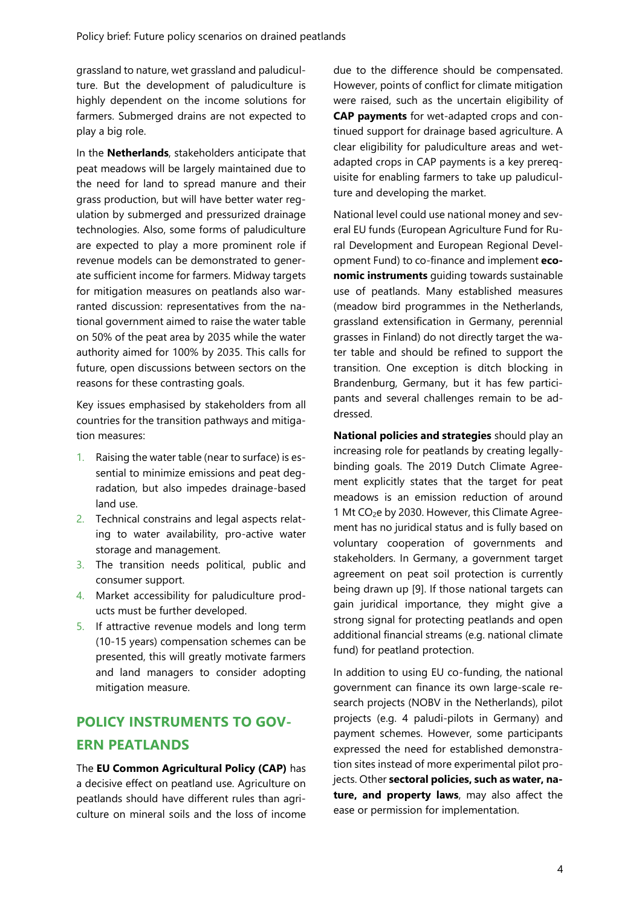grassland to nature, wet grassland and paludiculture. But the development of paludiculture is highly dependent on the income solutions for farmers. Submerged drains are not expected to play a big role.

In the **Netherlands**, stakeholders anticipate that peat meadows will be largely maintained due to the need for land to spread manure and their grass production, but will have better water regulation by submerged and pressurized drainage technologies. Also, some forms of paludiculture are expected to play a more prominent role if revenue models can be demonstrated to generate sufficient income for farmers. Midway targets for mitigation measures on peatlands also warranted discussion: representatives from the national government aimed to raise the water table on 50% of the peat area by 2035 while the water authority aimed for 100% by 2035. This calls for future, open discussions between sectors on the reasons for these contrasting goals.

Key issues emphasised by stakeholders from all countries for the transition pathways and mitigation measures:

- 1. Raising the water table (near to surface) is essential to minimize emissions and peat degradation, but also impedes drainage-based land use.
- 2. Technical constrains and legal aspects relating to water availability, pro-active water storage and management.
- 3. The transition needs political, public and consumer support.
- 4. Market accessibility for paludiculture products must be further developed.
- 5. If attractive revenue models and long term (10-15 years) compensation schemes can be presented, this will greatly motivate farmers and land managers to consider adopting mitigation measure.

### **POLICY INSTRUMENTS TO GOV-ERN PEATLANDS**

The **EU Common Agricultural Policy (CAP)** has a decisive effect on peatland use. Agriculture on peatlands should have different rules than agriculture on mineral soils and the loss of income

due to the difference should be compensated. However, points of conflict for climate mitigation were raised, such as the uncertain eligibility of **CAP payments** for wet-adapted crops and continued support for drainage based agriculture. A clear eligibility for paludiculture areas and wetadapted crops in CAP payments is a key prerequisite for enabling farmers to take up paludiculture and developing the market.

National level could use national money and several EU funds (European Agriculture Fund for Rural Development and European Regional Development Fund) to co-finance and implement **economic instruments** guiding towards sustainable use of peatlands. Many established measures (meadow bird programmes in the Netherlands, grassland extensification in Germany, perennial grasses in Finland) do not directly target the water table and should be refined to support the transition. One exception is ditch blocking in Brandenburg, Germany, but it has few participants and several challenges remain to be addressed.

**National policies and strategies** should play an increasing role for peatlands by creating legallybinding goals. The 2019 Dutch Climate Agreement explicitly states that the target for peat meadows is an emission reduction of around 1 Mt CO2e by 2030. However, this Climate Agreement has no juridical status and is fully based on voluntary cooperation of governments and stakeholders. In Germany, a government target agreement on peat soil protection is currently being drawn up [9]. If those national targets can gain juridical importance, they might give a strong signal for protecting peatlands and open additional financial streams (e.g. national climate fund) for peatland protection.

In addition to using EU co-funding, the national government can finance its own large-scale research projects (NOBV in the Netherlands), pilot projects (e.g. 4 paludi-pilots in Germany) and payment schemes. However, some participants expressed the need for established demonstration sites instead of more experimental pilot projects. Other **sectoral policies, such as water, nature, and property laws**, may also affect the ease or permission for implementation.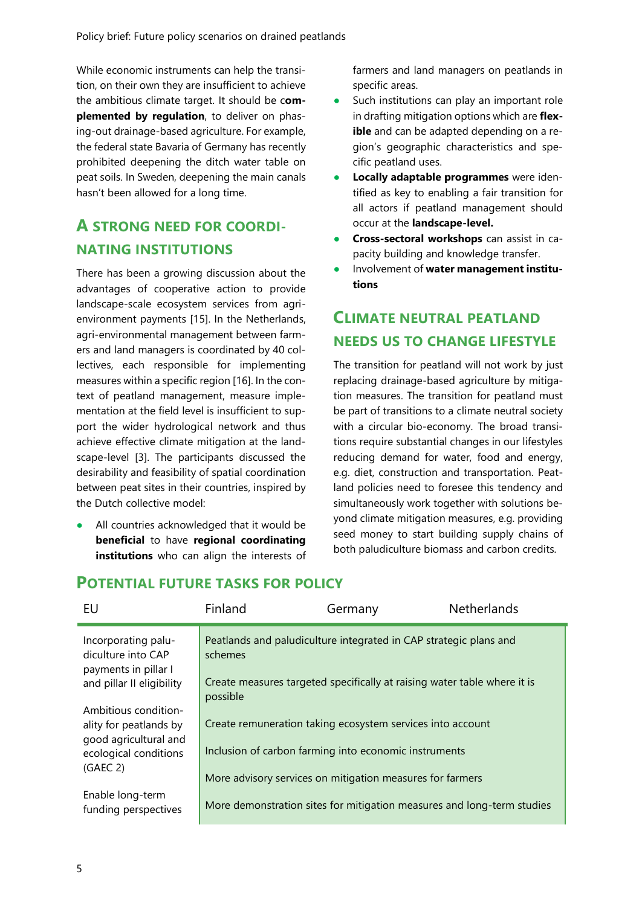While economic instruments can help the transition, on their own they are insufficient to achieve the ambitious climate target. It should be c**omplemented by regulation**, to deliver on phasing-out drainage-based agriculture. For example, the federal state Bavaria of Germany has recently prohibited deepening the ditch water table on peat soils. In Sweden, deepening the main canals hasn't been allowed for a long time.

## **A STRONG NEED FOR COORDI-NATING INSTITUTIONS**

There has been a growing discussion about the advantages of cooperative action to provide landscape-scale ecosystem services from agrienvironment payments [15]. In the Netherlands, agri-environmental management between farmers and land managers is coordinated by 40 collectives, each responsible for implementing measures within a specific region [16]. In the context of peatland management, measure implementation at the field level is insufficient to support the wider hydrological network and thus achieve effective climate mitigation at the landscape-level [3]. The participants discussed the desirability and feasibility of spatial coordination between peat sites in their countries, inspired by the Dutch collective model:

All countries acknowledged that it would be **beneficial** to have **regional coordinating institutions** who can align the interests of

farmers and land managers on peatlands in specific areas.

- Such institutions can play an important role in drafting mitigation options which are **flexible** and can be adapted depending on a region's geographic characteristics and specific peatland uses.
- **Locally adaptable programmes** were identified as key to enabling a fair transition for all actors if peatland management should occur at the **landscape-level.**
- **Cross-sectoral workshops** can assist in capacity building and knowledge transfer.
- Involvement of water management institu**tions**

## **CLIMATE NEUTRAL PEATLAND NEEDS US TO CHANGE LIFESTYLE**

The transition for peatland will not work by just replacing drainage-based agriculture by mitigation measures. The transition for peatland must be part of transitions to a climate neutral society with a circular bio-economy. The broad transitions require substantial changes in our lifestyles reducing demand for water, food and energy, e.g. diet, construction and transportation. Peatland policies need to foresee this tendency and simultaneously work together with solutions beyond climate mitigation measures, e.g. providing seed money to start building supply chains of both paludiculture biomass and carbon credits.

#### **POTENTIAL FUTURE TASKS FOR POLICY**

| EU                                                                                                                       | Finland             | Germany                                                                                                                                                                          | <b>Netherlands</b> |
|--------------------------------------------------------------------------------------------------------------------------|---------------------|----------------------------------------------------------------------------------------------------------------------------------------------------------------------------------|--------------------|
| Incorporating palu-<br>diculture into CAP<br>payments in pillar I<br>and pillar II eligibility                           | schemes<br>possible | Peatlands and paludiculture integrated in CAP strategic plans and<br>Create measures targeted specifically at raising water table where it is                                    |                    |
| Ambitious condition-<br>ality for peatlands by<br>good agricultural and<br>ecological conditions<br>(GAEC <sub>2</sub> ) |                     | Create remuneration taking ecosystem services into account<br>Inclusion of carbon farming into economic instruments<br>More advisory services on mitigation measures for farmers |                    |
| Enable long-term<br>funding perspectives                                                                                 |                     | More demonstration sites for mitigation measures and long-term studies                                                                                                           |                    |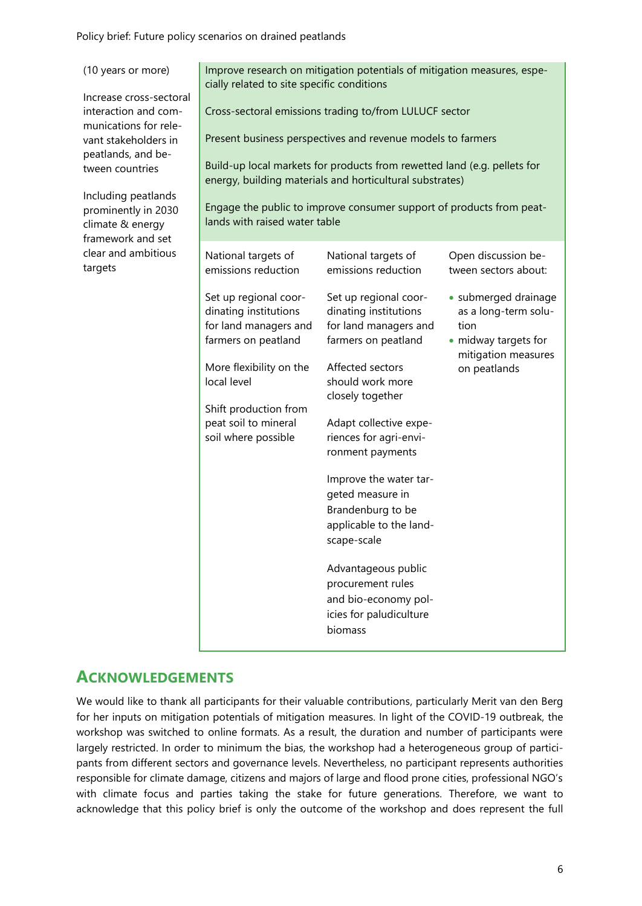Policy brief: Future policy scenarios on drained peatlands

| (10 years or more)<br>Increase cross-sectoral<br>interaction and com-<br>munications for rele-<br>vant stakeholders in<br>peatlands, and be-<br>tween countries<br>Including peatlands<br>prominently in 2030<br>climate & energy<br>framework and set<br>clear and ambitious<br>targets | Improve research on mitigation potentials of mitigation measures, espe-<br>cially related to site specific conditions<br>Cross-sectoral emissions trading to/from LULUCF sector<br>Present business perspectives and revenue models to farmers<br>Build-up local markets for products from rewetted land (e.g. pellets for<br>energy, building materials and horticultural substrates)<br>Engage the public to improve consumer support of products from peat-<br>lands with raised water table |                                                                                                                                                                                                                                                                                                                                                                                                                                                                                                         |                                                                                                                                                                    |  |
|------------------------------------------------------------------------------------------------------------------------------------------------------------------------------------------------------------------------------------------------------------------------------------------|-------------------------------------------------------------------------------------------------------------------------------------------------------------------------------------------------------------------------------------------------------------------------------------------------------------------------------------------------------------------------------------------------------------------------------------------------------------------------------------------------|---------------------------------------------------------------------------------------------------------------------------------------------------------------------------------------------------------------------------------------------------------------------------------------------------------------------------------------------------------------------------------------------------------------------------------------------------------------------------------------------------------|--------------------------------------------------------------------------------------------------------------------------------------------------------------------|--|
|                                                                                                                                                                                                                                                                                          | National targets of<br>emissions reduction<br>Set up regional coor-<br>dinating institutions<br>for land managers and<br>farmers on peatland<br>More flexibility on the<br>local level<br>Shift production from<br>peat soil to mineral<br>soil where possible                                                                                                                                                                                                                                  | National targets of<br>emissions reduction<br>Set up regional coor-<br>dinating institutions<br>for land managers and<br>farmers on peatland<br>Affected sectors<br>should work more<br>closely together<br>Adapt collective expe-<br>riences for agri-envi-<br>ronment payments<br>Improve the water tar-<br>geted measure in<br>Brandenburg to be<br>applicable to the land-<br>scape-scale<br>Advantageous public<br>procurement rules<br>and bio-economy pol-<br>icies for paludiculture<br>biomass | Open discussion be-<br>tween sectors about:<br>· submerged drainage<br>as a long-term solu-<br>tion<br>• midway targets for<br>mitigation measures<br>on peatlands |  |

#### **ACKNOWLEDGEMENTS**

We would like to thank all participants for their valuable contributions, particularly Merit van den Berg for her inputs on mitigation potentials of mitigation measures. In light of the COVID-19 outbreak, the workshop was switched to online formats. As a result, the duration and number of participants were largely restricted. In order to minimum the bias, the workshop had a heterogeneous group of participants from different sectors and governance levels. Nevertheless, no participant represents authorities responsible for climate damage, citizens and majors of large and flood prone cities, professional NGO's with climate focus and parties taking the stake for future generations. Therefore, we want to acknowledge that this policy brief is only the outcome of the workshop and does represent the full